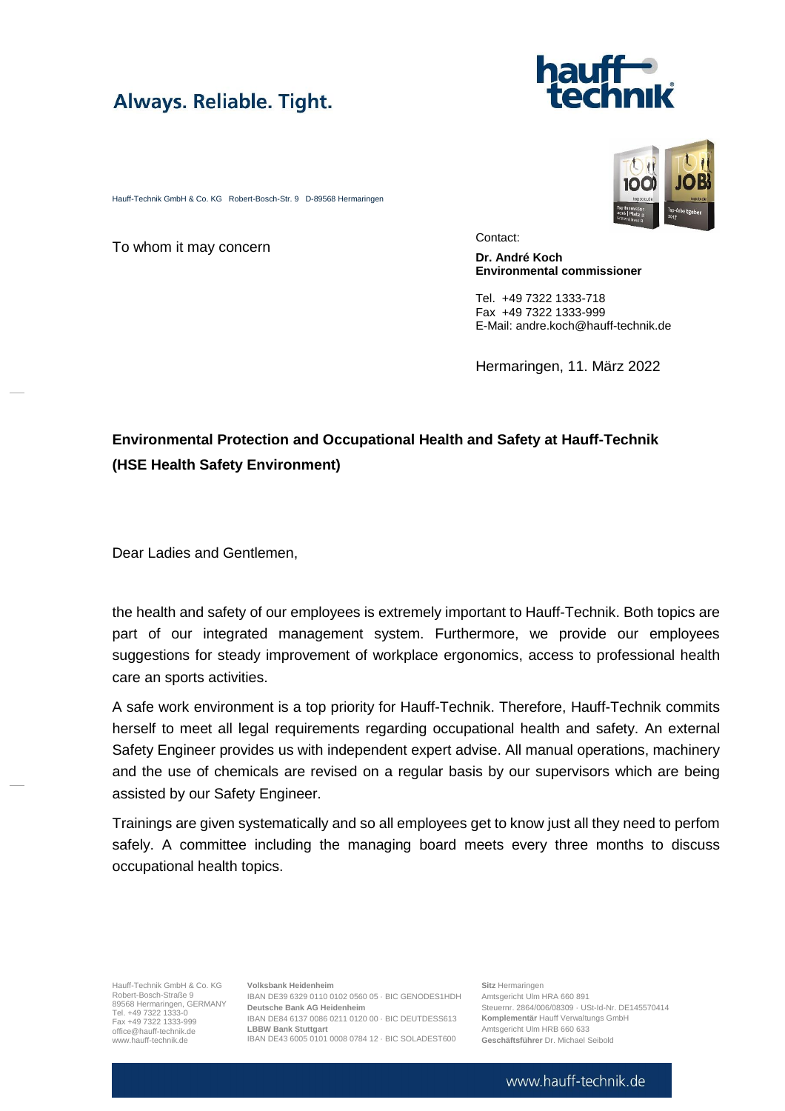



Hauff-Technik GmbH & Co. KG Robert-Bosch-Str. 9 D-89568 Hermaringen

To whom it may concern

Contact:

**Dr. André Koch Environmental commissioner**

Tel. +49 7322 1333-718 Fax +49 7322 1333-999 E-Mail: andre.koch@hauff-technik.de

Hermaringen, 11. März 2022

## **Environmental Protection and Occupational Health and Safety at Hauff-Technik (HSE Health Safety Environment)**

Dear Ladies and Gentlemen,

the health and safety of our employees is extremely important to Hauff-Technik. Both topics are part of our integrated management system. Furthermore, we provide our employees suggestions for steady improvement of workplace ergonomics, access to professional health care an sports activities.

A safe work environment is a top priority for Hauff-Technik. Therefore, Hauff-Technik commits herself to meet all legal requirements regarding occupational health and safety. An external Safety Engineer provides us with independent expert advise. All manual operations, machinery and the use of chemicals are revised on a regular basis by our supervisors which are being assisted by our Safety Engineer.

Trainings are given systematically and so all employees get to know just all they need to perfom safely. A committee including the managing board meets every three months to discuss occupational health topics.

Hauff-Technik GmbH & Co. KG Hauff-Technik GmbH & Co. KG<br>Robert-Bosch-Straße 9<br>89568 Hermaringen, GERMANY Tel. +49 7322 1333-0 Fax +49 7322 1333-999 [office@hauff-technik.de](mailto:office@hauff-technik.de) www.hauff-technik.de

**Volksbank Heidenheim** IBAN DE39 6329 0110 0102 0560 05 · BIC GENODES1HDH **Deutsche Bank AG Heidenheim** IBAN DE84 6137 0086 0211 0120 00 · BIC DEUTDESS613 **LBBW Bank Stuttgart** IBAN DE43 6005 0101 0008 0784 12 · BIC SOLADEST600

**Sitz** Hermaringen Amtsgericht Ulm HRA 660 891 Steuernr. 2864/006/08309 · USt-Id-Nr. DE145570414 **Komplementär** Hauff Verwaltungs GmbH Amtsgericht Ulm HRB 660 633 **Geschäftsführer** Dr. Michael Seibold

## www.hauff-technik.de